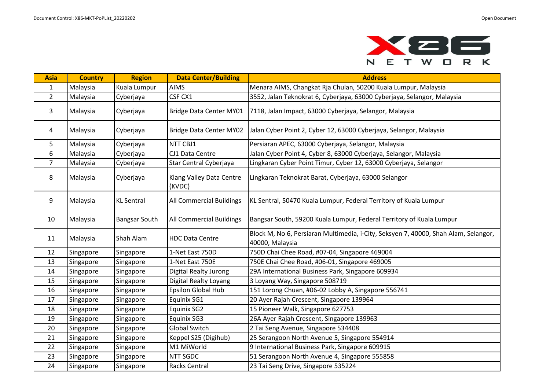

| <b>Asia</b>    | <b>Country</b> | <b>Region</b>        | <b>Data Center/Building</b>        | <b>Address</b>                                                                                         |
|----------------|----------------|----------------------|------------------------------------|--------------------------------------------------------------------------------------------------------|
| $\mathbf{1}$   | Malaysia       | Kuala Lumpur         | <b>AIMS</b>                        | Menara AIMS, Changkat Rja Chulan, 50200 Kuala Lumpur, Malaysia                                         |
| $\mathbf{2}$   | Malaysia       | Cyberjaya            | CSF CX1                            | 3552, Jalan Teknokrat 6, Cyberjaya, 63000 Cyberjaya, Selangor, Malaysia                                |
| 3              | Malaysia       | Cyberjaya            | Bridge Data Center MY01            | 7118, Jalan Impact, 63000 Cyberjaya, Selangor, Malaysia                                                |
| 4              | Malaysia       | Cyberjaya            | Bridge Data Center MY02            | Jalan Cyber Point 2, Cyber 12, 63000 Cyberjaya, Selangor, Malaysia                                     |
| 5              | Malaysia       | Cyberjaya            | NTT CBJ1                           | Persiaran APEC, 63000 Cyberjaya, Selangor, Malaysia                                                    |
| 6              | Malaysia       | Cyberjaya            | CJ1 Data Centre                    | Jalan Cyber Point 4, Cyber 8, 63000 Cyberjaya, Selangor, Malaysia                                      |
| $\overline{7}$ | Malaysia       | Cyberjaya            | Star Central Cyberjaya             | Lingkaran Cyber Point Timur, Cyber 12, 63000 Cyberjaya, Selangor                                       |
| 8              | Malaysia       | Cyberjaya            | Klang Valley Data Centre<br>(KVDC) | Lingkaran Teknokrat Barat, Cyberjaya, 63000 Selangor                                                   |
| 9              | Malaysia       | <b>KL Sentral</b>    | All Commercial Buildings           | KL Sentral, 50470 Kuala Lumpur, Federal Territory of Kuala Lumpur                                      |
| 10             | Malaysia       | <b>Bangsar South</b> | All Commercial Buildings           | Bangsar South, 59200 Kuala Lumpur, Federal Territory of Kuala Lumpur                                   |
| 11             | Malaysia       | Shah Alam            | <b>HDC Data Centre</b>             | Block M, No 6, Persiaran Multimedia, i-City, Seksyen 7, 40000, Shah Alam, Selangor,<br>40000, Malaysia |
| 12             | Singapore      | Singapore            | 1-Net East 750D                    | 750D Chai Chee Road, #07-04, Singapore 469004                                                          |
| 13             | Singapore      | Singapore            | 1-Net East 750E                    | 750E Chai Chee Road, #06-01, Singapore 469005                                                          |
| 14             | Singapore      | Singapore            | Digital Realty Jurong              | 29A International Business Park, Singapore 609934                                                      |
| 15             | Singapore      | Singapore            | Digital Realty Loyang              | 3 Loyang Way, Singapore 508719                                                                         |
| 16             | Singapore      | Singapore            | Epsilon Global Hub                 | 151 Lorong Chuan, #06-02 Lobby A, Singapore 556741                                                     |
| 17             | Singapore      | Singapore            | Equinix SG1                        | 20 Ayer Rajah Crescent, Singapore 139964                                                               |
| 18             | Singapore      | Singapore            | Equinix SG2                        | 15 Pioneer Walk, Singapore 627753                                                                      |
| 19             | Singapore      | Singapore            | Equinix SG3                        | 26A Ayer Rajah Crescent, Singapore 139963                                                              |
| 20             | Singapore      | Singapore            | <b>Global Switch</b>               | 2 Tai Seng Avenue, Singapore 534408                                                                    |
| 21             | Singapore      | Singapore            | Keppel S25 (Digihub)               | 25 Serangoon North Avenue 5, Singapore 554914                                                          |
| 22             | Singapore      | Singapore            | M1 MiWorld                         | 9 International Business Park, Singapore 609915                                                        |
| 23             | Singapore      | Singapore            | NTT SGDC                           | 51 Serangoon North Avenue 4, Singapore 555858                                                          |
| 24             | Singapore      | Singapore            | Racks Central                      | 23 Tai Seng Drive, Singapore 535224                                                                    |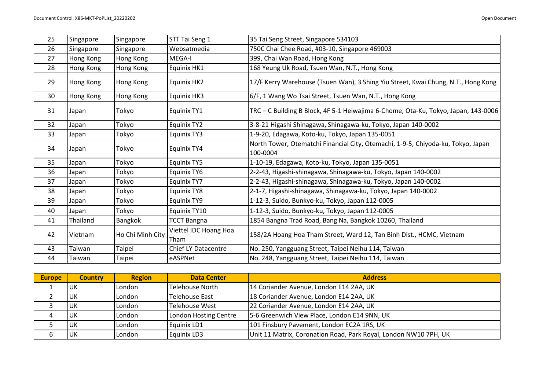| 25 | Singapore | Singapore        | STT Tai Seng 1                       | 35 Tai Seng Street, Singapore 534103                                                         |
|----|-----------|------------------|--------------------------------------|----------------------------------------------------------------------------------------------|
| 26 | Singapore | Singapore        | Websatmedia                          | 750C Chai Chee Road, #03-10, Singapore 469003                                                |
| 27 | Hong Kong | Hong Kong        | MEGA-I                               | 399, Chai Wan Road, Hong Kong                                                                |
| 28 | Hong Kong | Hong Kong        | Equinix HK1                          | 168 Yeung Uk Road, Tsuen Wan, N.T., Hong Kong                                                |
| 29 | Hong Kong | Hong Kong        | Equinix HK2                          | 17/F Kerry Warehouse (Tsuen Wan), 3 Shing Yiu Street, Kwai Chung, N.T., Hong Kong            |
| 30 | Hong Kong | Hong Kong        | <b>Equinix HK3</b>                   | 6/F, 1 Wang Wo Tsai Street, Tsuen Wan, N.T., Hong Kong                                       |
| 31 | Japan     | Tokyo            | Equinix TY1                          | TRC - C Building B Block, 4F 5-1 Heiwajima 6-Chome, Ota-Ku, Tokyo, Japan, 143-0006           |
| 32 | Japan     | Tokyo            | Equinix TY2                          | 3-8-21 Higashi Shinagawa, Shinagawa-ku, Tokyo, Japan 140-0002                                |
| 33 | Japan     | Tokyo            | <b>Equinix TY3</b>                   | 1-9-20, Edagawa, Koto-ku, Tokyo, Japan 135-0051                                              |
| 34 | Japan     | Tokyo            | <b>Equinix TY4</b>                   | North Tower, Otematchi Financial City, Otemachi, 1-9-5, Chiyoda-ku, Tokyo, Japan<br>100-0004 |
| 35 | Japan     | Tokyo            | <b>Equinix TY5</b>                   | 1-10-19, Edagawa, Koto-ku, Tokyo, Japan 135-0051                                             |
| 36 | Japan     | Tokyo            | Equinix TY6                          | 2-2-43, Higashi-shinagawa, Shinagawa-ku, Tokyo, Japan 140-0002                               |
| 37 | Japan     | Tokyo            | <b>Equinix TY7</b>                   | 2-2-43, Higashi-shinagawa, Shinagawa-ku, Tokyo, Japan 140-0002                               |
| 38 | Japan     | Tokyo            | <b>Equinix TY8</b>                   | 2-1-7, Higashi-shinagawa, Shinagawa-ku, Tokyo, Japan 140-0002                                |
| 39 | Japan     | Tokyo            | <b>Equinix TY9</b>                   | 1-12-3, Suido, Bunkyo-ku, Tokyo, Japan 112-0005                                              |
| 40 | Japan     | Tokyo            | Equinix TY10                         | 1-12-3, Suido, Bunkyo-ku, Tokyo, Japan 112-0005                                              |
| 41 | Thailand  | Bangkok          | <b>TCCT Bangna</b>                   | 1854 Bangna Trad Road, Bang Na, Bangkok 10260, Thailand                                      |
| 42 | Vietnam   | Ho Chi Minh City | <b>Viettel IDC Hoang Hoa</b><br>Tham | 158/2A Hoang Hoa Tham Street, Ward 12, Tan Binh Dist., HCMC, Vietnam                         |
| 43 | Taiwan    | Taipei           | <b>Chief LY Datacentre</b>           | No. 250, Yangguang Street, Taipei Neihu 114, Taiwan                                          |
| 44 | Taiwan    | Taipei           | eASPNet                              | No. 248, Yangguang Street, Taipei Neihu 114, Taiwan                                          |

| <b>Europe</b> | <b>Country</b> | <b>Region</b> | <b>Data Center</b>    | <b>Address</b>                                                   |
|---------------|----------------|---------------|-----------------------|------------------------------------------------------------------|
|               | UK             | London        | Telehouse North       | 14 Coriander Avenue, London E14 2AA, UK                          |
|               | UK             | London        | Telehouse East        | 18 Coriander Avenue, London E14 2AA, UK                          |
|               | UK             | London        | Telehouse West        | 22 Coriander Avenue, London E14 2AA, UK                          |
| 4             | <b>UK</b>      | London        | London Hosting Centre | 5-6 Greenwich View Place, London E14 9NN, UK                     |
|               | UK             | London        | Equinix LD1           | 101 Finsbury Pavement, London EC2A 1RS, UK                       |
|               | UK             | London        | <b>Equinix LD3</b>    | Unit 11 Matrix, Coronation Road, Park Royal, London NW10 7PH, UK |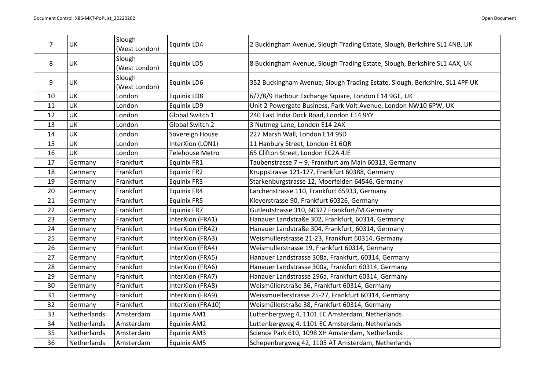| 7  | UK          | Slough<br>(West London) | Equinix LD4            | 2 Buckingham Avenue, Slough Trading Estate, Slough, Berkshire SL1 4NB, UK   |
|----|-------------|-------------------------|------------------------|-----------------------------------------------------------------------------|
| 8  | UK          | Slough<br>(West London) | <b>Equinix LD5</b>     | 8 Buckingham Avenue, Slough Trading Estate, Slough, Berkshire SL1 4AX, UK   |
| 9  | UK          | Slough<br>(West London) | Equinix LD6            | 352 Buckingham Avenue, Slough Trading Estate, Slough, Berkshire, SL1 4PF UK |
| 10 | UK          | London                  | Equinix LD8            | 6/7/8/9 Harbour Exchange Square, London E14 9GE, UK                         |
| 11 | UK          | London                  | Equinix LD9            | Unit 2 Powergate Business, Park Volt Avenue, London NW10 6PW, UK            |
| 12 | UK          | London                  | Global Switch 1        | 240 East India Dock Road, London E14 9YY                                    |
| 13 | UK          | London                  | Global Switch 2        | 3 Nutmeg Lane, London E14 2AX                                               |
| 14 | UK          | London                  | Sovereign House        | 227 Marsh Wall, London E14 9SD                                              |
| 15 | UK          | London                  | InterXion (LON1)       | 11 Hanbury Street, London E1 6QR                                            |
| 16 | UK          | London                  | <b>Telehouse Metro</b> | 65 Clifton Street, London EC2A 4JE                                          |
| 17 | Germany     | Frankfurt               | Equinix FR1            | Taubenstrasse 7 - 9, Frankfurt am Main 60313, Germany                       |
| 18 | Germany     | Frankfurt               | <b>Equinix FR2</b>     | Kruppstrasse 121-127, Frankfurt 60388, Germany                              |
| 19 | Germany     | Frankfurt               | <b>Equinix FR3</b>     | Starkenburgstrasse 12, Moerfelden 64546, Germany                            |
| 20 | Germany     | Frankfurt               | Equinix FR4            | Lärchenstrasse 110, Frankfurt 65933, Germany                                |
| 21 | Germany     | Frankfurt               | <b>Equinix FR5</b>     | Kleyerstrasse 90, Frankfurt 60326, Germany                                  |
| 22 | Germany     | Frankfurt               | <b>Equinix FR7</b>     | Gutleutstrasse 310, 60327 Frankfurt/M.Germany                               |
| 23 | Germany     | Frankfurt               | InterXion (FRA1)       | Hanauer Landstraße 302, Frankfurt, 60314, Germany                           |
| 24 | Germany     | Frankfurt               | InterXion (FRA2)       | Hanauer Landstraße 304, Frankfurt, 60314, Germany                           |
| 25 | Germany     | Frankfurt               | InterXion (FRA3)       | Weismullerstrasse 21-23, Frankfurt 60314, Germany                           |
| 26 | Germany     | Frankfurt               | InterXion (FRA4)       | Weismullerstrasse 19, Frankfurt 60314, Germany                              |
| 27 | Germany     | Frankfurt               | InterXion (FRA5)       | Hanauer Landstrasse 308a, Frankfurt, 60314, Germany                         |
| 28 | Germany     | Frankfurt               | InterXion (FRA6)       | Hanauer Landstrasse 300a, Frankfurt 60314, Germany                          |
| 29 | Germany     | Frankfurt               | InterXion (FRA7)       | Hanauer Landstrasse 296a, Frankfurt 60314, Germany                          |
| 30 | Germany     | Frankfurt               | InterXion (FRA8)       | Weismüllerstraße 36, Frankfurt 60314, Germany                               |
| 31 | Germany     | Frankfurt               | InterXion (FRA9)       | Weissmuellerstrasse 25-27, Frankfurt 60314, Germany                         |
| 32 | Germany     | Frankfurt               | InterXion (FRA10)      | Weismüllerstraße 38, Frankfurt 60314, Germany                               |
| 33 | Netherlands | Amsterdam               | Equinix AM1            | Luttenbergweg 4, 1101 EC Amsterdam, Netherlands                             |
| 34 | Netherlands | Amsterdam               | Equinix AM2            | Luttenbergweg 4, 1101 EC Amsterdam, Netherlands                             |
| 35 | Netherlands | Amsterdam               | Equinix AM3            | Science Park 610, 1098 XH Amsterdam, Netherlands                            |
| 36 | Netherlands | Amsterdam               | Equinix AM5            | Schepenbergweg 42, 1105 AT Amsterdam, Netherlands                           |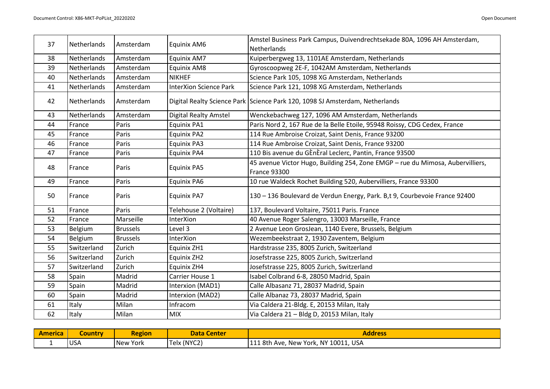| 37 | Netherlands | Amsterdam       | Equinix AM6                   | Amstel Business Park Campus, Duivendrechtsekade 80A, 1096 AH Amsterdam,<br>Netherlands                |
|----|-------------|-----------------|-------------------------------|-------------------------------------------------------------------------------------------------------|
| 38 | Netherlands | Amsterdam       | Equinix AM7                   | Kuiperbergweg 13, 1101AE Amsterdam, Netherlands                                                       |
| 39 | Netherlands | Amsterdam       | Equinix AM8                   | Gyroscoopweg 2E-F, 1042AM Amsterdam, Netherlands                                                      |
| 40 | Netherlands | Amsterdam       | <b>NIKHEF</b>                 | Science Park 105, 1098 XG Amsterdam, Netherlands                                                      |
| 41 | Netherlands | Amsterdam       | <b>InterXion Science Park</b> | Science Park 121, 1098 XG Amsterdam, Netherlands                                                      |
| 42 | Netherlands | Amsterdam       |                               | Digital Realty Science Park Science Park 120, 1098 SJ Amsterdam, Netherlands                          |
| 43 | Netherlands | Amsterdam       | <b>Digital Realty Amstel</b>  | Wenckebachweg 127, 1096 AM Amsterdam, Netherlands                                                     |
| 44 | France      | Paris           | Equinix PA1                   | Paris Nord 2, 167 Rue de la Belle Etoile, 95948 Roissy, CDG Cedex, France                             |
| 45 | France      | Paris           | <b>Equinix PA2</b>            | 114 Rue Ambroise Croizat, Saint Denis, France 93200                                                   |
| 46 | France      | Paris           | <b>Equinix PA3</b>            | 114 Rue Ambroise Croizat, Saint Denis, France 93200                                                   |
| 47 | France      | Paris           | Equinix PA4                   | 110 Bis avenue du GÈnÈral Leclerc, Pantin, France 93500                                               |
| 48 | France      | Paris           | <b>Equinix PA5</b>            | 45 avenue Victor Hugo, Building 254, Zone EMGP - rue du Mimosa, Aubervilliers,<br><b>France 93300</b> |
| 49 | France      | Paris           | Equinix PA6                   | 10 rue Waldeck Rochet Building 520, Aubervilliers, France 93300                                       |
| 50 | France      | Paris           | <b>Equinix PA7</b>            | 130 - 136 Boulevard de Verdun Energy, Park. B,t 9, Courbevoie France 92400                            |
| 51 | France      | Paris           | Telehouse 2 (Voltaire)        | 137, Boulevard Voltaire, 75011 Paris. France                                                          |
| 52 | France      | Marseille       | InterXion                     | 40 Avenue Roger Salengro, 13003 Marseille, France                                                     |
| 53 | Belgium     | <b>Brussels</b> | Level 3                       | 2 Avenue Leon GrosJean, 1140 Evere, Brussels, Belgium                                                 |
| 54 | Belgium     | <b>Brussels</b> | <b>InterXion</b>              | Wezembeekstraat 2, 1930 Zaventem, Belgium                                                             |
| 55 | Switzerland | Zurich          | Equinix ZH1                   | Hardstrasse 235, 8005 Zurich, Switzerland                                                             |
| 56 | Switzerland | Zurich          | Equinix ZH2                   | Josefstrasse 225, 8005 Zurich, Switzerland                                                            |
| 57 | Switzerland | Zurich          | Equinix ZH4                   | Josefstrasse 225, 8005 Zurich, Switzerland                                                            |
| 58 | Spain       | Madrid          | Carrier House 1               | Isabel Colbrand 6-8, 28050 Madrid, Spain                                                              |
| 59 | Spain       | Madrid          | Interxion (MAD1)              | Calle Albasanz 71, 28037 Madrid, Spain                                                                |
| 60 | Spain       | Madrid          | Interxion (MAD2)              | Calle Albanaz 73, 28037 Madrid, Spain                                                                 |
| 61 | Italy       | Milan           | Infracom                      | Via Caldera 21-Bldg. E, 20153 Milan, Italy                                                            |
| 62 | Italy       | Milan           | <b>MIX</b>                    | Via Caldera 21 - Bldg D, 20153 Milan, Italy                                                           |

| <b>America</b> | Country    | <b>Region</b> | <b>Data Center</b> | Address                              |
|----------------|------------|---------------|--------------------|--------------------------------------|
| . .            | <b>USA</b> | New York      | Telx (NYC2)        | 111 8th Ave, New York, NY 10011, USA |